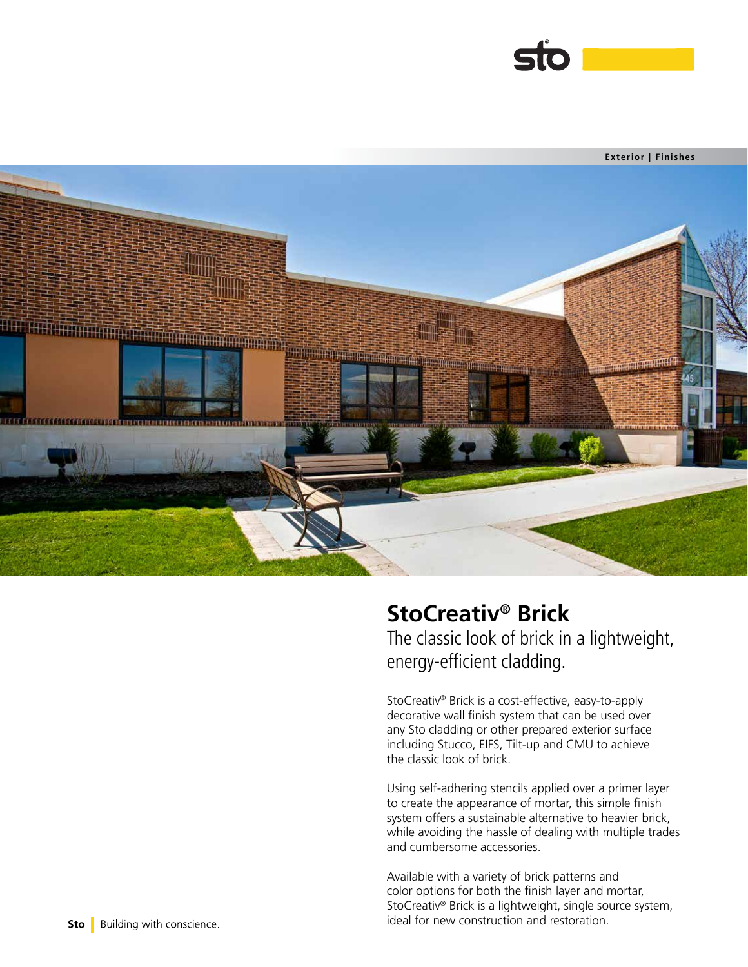



# **StoCreativ® Brick**

The classic look of brick in a lightweight, energy-efficient cladding.

StoCreativ® Brick is a cost-effective, easy-to-apply decorative wall finish system that can be used over any Sto cladding or other prepared exterior surface including Stucco, EIFS, Tilt-up and CMU to achieve the classic look of brick.

Using self-adhering stencils applied over a primer layer to create the appearance of mortar, this simple finish system offers a sustainable alternative to heavier brick, while avoiding the hassle of dealing with multiple trades and cumbersome accessories.

Available with a variety of brick patterns and color options for both the finish layer and mortar, StoCreativ® Brick is a lightweight, single source system, ideal for new construction and restoration.